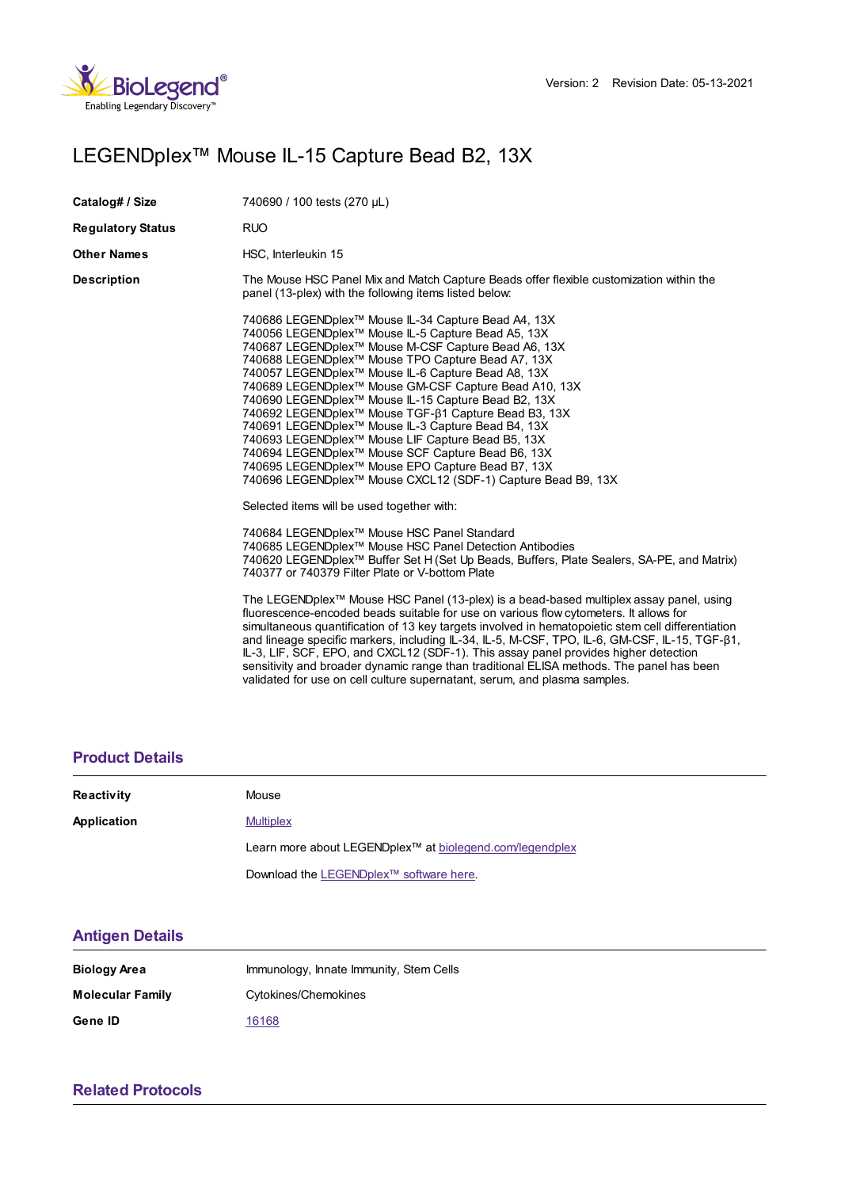

# LEGENDplex™ Mouse IL-15 Capture Bead B2, 13X

| Catalog# / Size          | 740690 / 100 tests (270 µL)                                                                                                                                                                                                                                                                                                                                                                                                                                                                                                                                                                                                                                                                                                                                                                          |  |
|--------------------------|------------------------------------------------------------------------------------------------------------------------------------------------------------------------------------------------------------------------------------------------------------------------------------------------------------------------------------------------------------------------------------------------------------------------------------------------------------------------------------------------------------------------------------------------------------------------------------------------------------------------------------------------------------------------------------------------------------------------------------------------------------------------------------------------------|--|
| <b>Regulatory Status</b> | <b>RUO</b>                                                                                                                                                                                                                                                                                                                                                                                                                                                                                                                                                                                                                                                                                                                                                                                           |  |
| Other Names              | HSC, Interleukin 15                                                                                                                                                                                                                                                                                                                                                                                                                                                                                                                                                                                                                                                                                                                                                                                  |  |
| Description              | The Mouse HSC Panel Mix and Match Capture Beads offer flexible customization within the<br>panel (13-plex) with the following items listed below:                                                                                                                                                                                                                                                                                                                                                                                                                                                                                                                                                                                                                                                    |  |
|                          | 740686 LEGENDplex™ Mouse IL-34 Capture Bead A4, 13X<br>740056 LEGENDplex <sup>™</sup> Mouse IL-5 Capture Bead A5, 13X<br>740687 LEGENDplex™ Mouse M-CSF Capture Bead A6, 13X<br>740688 LEGENDplex™ Mouse TPO Capture Bead A7, 13X<br>740057 LEGENDplex <sup>™</sup> Mouse IL-6 Capture Bead A8, 13X<br>740689 LEGENDplex™ Mouse GM-CSF Capture Bead A10, 13X<br>740690 LEGENDplex™ Mouse IL-15 Capture Bead B2, 13X<br>740692 LEGENDplex <sup>™</sup> Mouse TGF-β1 Capture Bead B3, 13X<br>740691 LEGENDplex <sup>™</sup> Mouse IL-3 Capture Bead B4, 13X<br>740693 LEGENDplex™ Mouse LIF Capture Bead B5, 13X<br>740694 LEGENDplex <sup>™</sup> Mouse SCF Capture Bead B6, 13X<br>740695 LEGENDplex™ Mouse EPO Capture Bead B7, 13X<br>740696 LEGENDplex™ Mouse CXCL12 (SDF-1) Capture Bead B9, 13X |  |
|                          | Selected items will be used together with:                                                                                                                                                                                                                                                                                                                                                                                                                                                                                                                                                                                                                                                                                                                                                           |  |
|                          | 740684 LEGENDplex™ Mouse HSC Panel Standard<br>740685 LEGENDplex™ Mouse HSC Panel Detection Antibodies<br>740620 LEGENDplex <sup>™</sup> Buffer Set H (Set Up Beads, Buffers, Plate Sealers, SA-PE, and Matrix)<br>740377 or 740379 Filter Plate or V-bottom Plate                                                                                                                                                                                                                                                                                                                                                                                                                                                                                                                                   |  |
|                          | The LEGENDplex™ Mouse HSC Panel (13-plex) is a bead-based multiplex assay panel, using<br>fluorescence-encoded beads suitable for use on various flow cytometers. It allows for<br>simultaneous quantification of 13 key targets involved in hematopoietic stem cell differentiation<br>and lineage specific markers, including IL-34, IL-5, M-CSF, TPO, IL-6, GM-CSF, IL-15, TGF-ß1,<br>IL-3, LIF, SCF, EPO, and CXCL12 (SDF-1). This assay panel provides higher detection<br>sensitivity and broader dynamic range than traditional ELISA methods. The panel has been<br>validated for use on cell culture supernatant, serum, and plasma samples.                                                                                                                                                |  |

### **[Product](https://production-dynamicweb.biolegend.com/nl-nl/products/legendplex-mouse-il-15-capture-bead-b2-13x-15212?pdf=true&displayInline=true&leftRightMargin=15&topBottomMargin=15&filename=LEGENDplex%EF%BF%BD%EF%BF%BD%EF%BF%BD Mouse IL-15 Capture Bead B2, 13X.pdf#productDetails) Details**

| Reactivity  | Mouse                                                                |  |
|-------------|----------------------------------------------------------------------|--|
| Application | <b>Multiplex</b>                                                     |  |
|             | Learn more about LEGENDplex <sup>™</sup> at biolegend.com/legendplex |  |
|             | Download the LEGENDplex™ software here.                              |  |

#### **[Antigen](https://production-dynamicweb.biolegend.com/nl-nl/products/legendplex-mouse-il-15-capture-bead-b2-13x-15212?pdf=true&displayInline=true&leftRightMargin=15&topBottomMargin=15&filename=LEGENDplex%EF%BF%BD%EF%BF%BD%EF%BF%BD Mouse IL-15 Capture Bead B2, 13X.pdf#antigenDetails) Details**

| Biology Area            | Immunology, Innate Immunity, Stem Cells |
|-------------------------|-----------------------------------------|
| <b>Molecular Family</b> | Cytokines/Chemokines                    |
| Gene ID                 | 16168                                   |

## **Related [Protocols](https://production-dynamicweb.biolegend.com/nl-nl/products/legendplex-mouse-il-15-capture-bead-b2-13x-15212?pdf=true&displayInline=true&leftRightMargin=15&topBottomMargin=15&filename=LEGENDplex%EF%BF%BD%EF%BF%BD%EF%BF%BD Mouse IL-15 Capture Bead B2, 13X.pdf#productRelatedProtocols)**